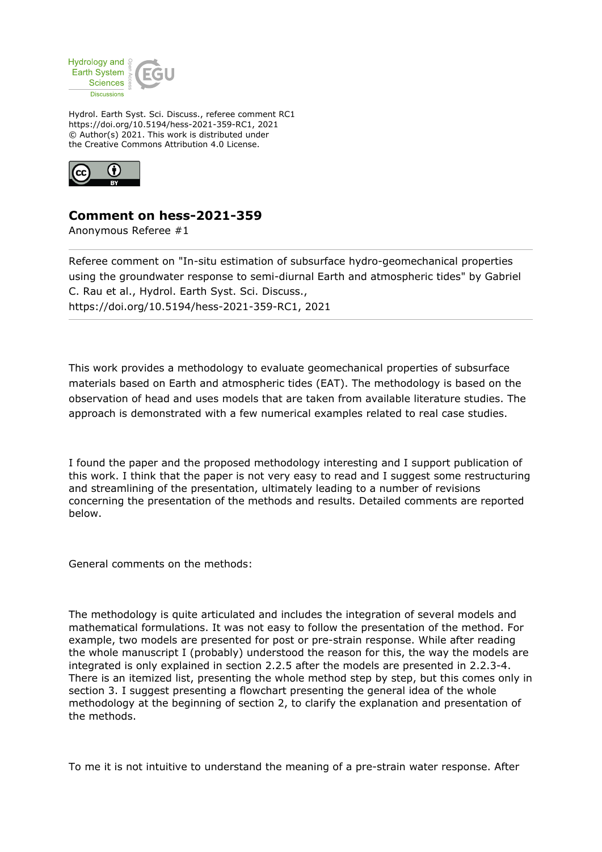

Hydrol. Earth Syst. Sci. Discuss., referee comment RC1 https://doi.org/10.5194/hess-2021-359-RC1, 2021 © Author(s) 2021. This work is distributed under the Creative Commons Attribution 4.0 License.



## **Comment on hess-2021-359**

Anonymous Referee #1

Referee comment on "In-situ estimation of subsurface hydro-geomechanical properties using the groundwater response to semi-diurnal Earth and atmospheric tides" by Gabriel C. Rau et al., Hydrol. Earth Syst. Sci. Discuss., https://doi.org/10.5194/hess-2021-359-RC1, 2021

This work provides a methodology to evaluate geomechanical properties of subsurface materials based on Earth and atmospheric tides (EAT). The methodology is based on the observation of head and uses models that are taken from available literature studies. The approach is demonstrated with a few numerical examples related to real case studies.

I found the paper and the proposed methodology interesting and I support publication of this work. I think that the paper is not very easy to read and I suggest some restructuring and streamlining of the presentation, ultimately leading to a number of revisions concerning the presentation of the methods and results. Detailed comments are reported below.

General comments on the methods:

The methodology is quite articulated and includes the integration of several models and mathematical formulations. It was not easy to follow the presentation of the method. For example, two models are presented for post or pre-strain response. While after reading the whole manuscript I (probably) understood the reason for this, the way the models are integrated is only explained in section 2.2.5 after the models are presented in 2.2.3-4. There is an itemized list, presenting the whole method step by step, but this comes only in section 3. I suggest presenting a flowchart presenting the general idea of the whole methodology at the beginning of section 2, to clarify the explanation and presentation of the methods.

To me it is not intuitive to understand the meaning of a pre-strain water response. After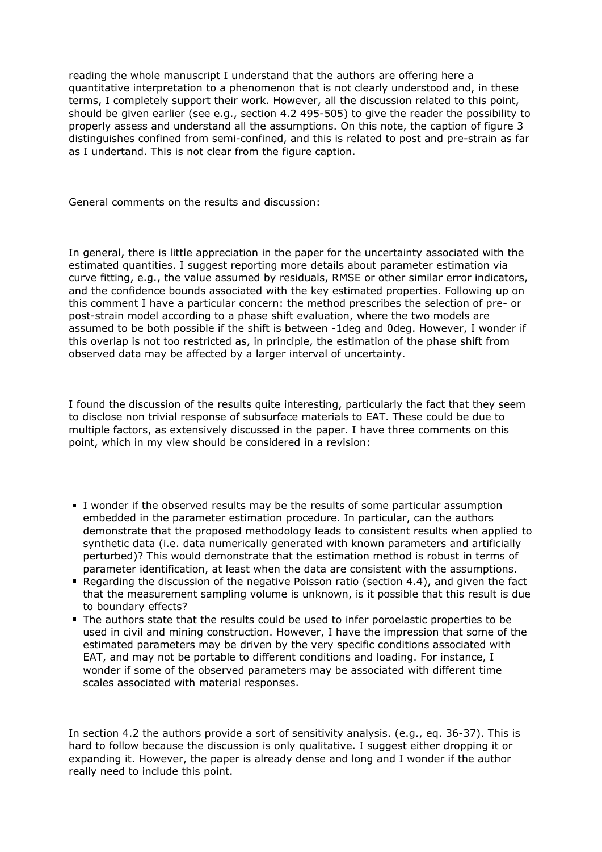reading the whole manuscript I understand that the authors are offering here a quantitative interpretation to a phenomenon that is not clearly understood and, in these terms, I completely support their work. However, all the discussion related to this point, should be given earlier (see e.g., section 4.2 495-505) to give the reader the possibility to properly assess and understand all the assumptions. On this note, the caption of figure 3 distinguishes confined from semi-confined, and this is related to post and pre-strain as far as I undertand. This is not clear from the figure caption.

General comments on the results and discussion:

In general, there is little appreciation in the paper for the uncertainty associated with the estimated quantities. I suggest reporting more details about parameter estimation via curve fitting, e.g., the value assumed by residuals, RMSE or other similar error indicators, and the confidence bounds associated with the key estimated properties. Following up on this comment I have a particular concern: the method prescribes the selection of pre- or post-strain model according to a phase shift evaluation, where the two models are assumed to be both possible if the shift is between -1deg and 0deg. However, I wonder if this overlap is not too restricted as, in principle, the estimation of the phase shift from observed data may be affected by a larger interval of uncertainty.

I found the discussion of the results quite interesting, particularly the fact that they seem to disclose non trivial response of subsurface materials to EAT. These could be due to multiple factors, as extensively discussed in the paper. I have three comments on this point, which in my view should be considered in a revision:

- I wonder if the observed results may be the results of some particular assumption embedded in the parameter estimation procedure. In particular, can the authors demonstrate that the proposed methodology leads to consistent results when applied to synthetic data (i.e. data numerically generated with known parameters and artificially perturbed)? This would demonstrate that the estimation method is robust in terms of parameter identification, at least when the data are consistent with the assumptions.
- Regarding the discussion of the negative Poisson ratio (section 4.4), and given the fact that the measurement sampling volume is unknown, is it possible that this result is due to boundary effects?
- The authors state that the results could be used to infer poroelastic properties to be used in civil and mining construction. However, I have the impression that some of the estimated parameters may be driven by the very specific conditions associated with EAT, and may not be portable to different conditions and loading. For instance, I wonder if some of the observed parameters may be associated with different time scales associated with material responses.

In section 4.2 the authors provide a sort of sensitivity analysis. (e.g., eq. 36-37). This is hard to follow because the discussion is only qualitative. I suggest either dropping it or expanding it. However, the paper is already dense and long and I wonder if the author really need to include this point.